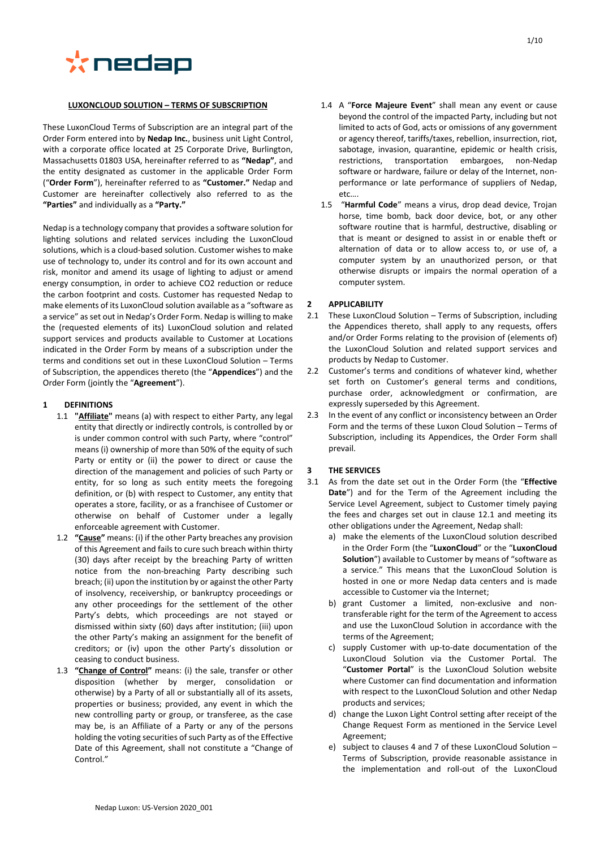

#### **LUXONCLOUD SOLUTION – TERMS OF SUBSCRIPTION**

These LuxonCloud Terms of Subscription are an integral part of the Order Form entered into by **Nedap Inc.**, business unit Light Control, with a corporate office located at 25 Corporate Drive, Burlington, Massachusetts 01803 USA, hereinafter referred to as **"Nedap"**, and the entity designated as customer in the applicable Order Form ("**Order Form**"), hereinafter referred to as **"Customer."** Nedap and Customer are hereinafter collectively also referred to as the **"Parties"** and individually as a **"Party."**

Nedap is a technology company that provides a software solution for lighting solutions and related services including the LuxonCloud solutions, which is a cloud-based solution. Customer wishes to make use of technology to, under its control and for its own account and risk, monitor and amend its usage of lighting to adjust or amend energy consumption, in order to achieve CO2 reduction or reduce the carbon footprint and costs. Customer has requested Nedap to make elements of its LuxonCloud solution available as a "software as a service" as set out in Nedap's Order Form. Nedap is willing to make the (requested elements of its) LuxonCloud solution and related support services and products available to Customer at Locations indicated in the Order Form by means of a subscription under the terms and conditions set out in these LuxonCloud Solution – Terms of Subscription, the appendices thereto (the "**Appendices**") and the Order Form (jointly the "**Agreement**").

## **1 DEFINITIONS**

- 1.1 **"Affiliate"** means (a) with respect to either Party, any legal entity that directly or indirectly controls, is controlled by or is under common control with such Party, where "control" means (i) ownership of more than 50% of the equity of such Party or entity or (ii) the power to direct or cause the direction of the management and policies of such Party or entity, for so long as such entity meets the foregoing definition, or (b) with respect to Customer, any entity that operates a store, facility, or as a franchisee of Customer or otherwise on behalf of Customer under a legally enforceable agreement with Customer.
- 1.2 **"Cause"** means: (i) if the other Party breaches any provision of this Agreement and fails to cure such breach within thirty (30) days after receipt by the breaching Party of written notice from the non-breaching Party describing such breach; (ii) upon the institution by or against the other Party of insolvency, receivership, or bankruptcy proceedings or any other proceedings for the settlement of the other Party's debts, which proceedings are not stayed or dismissed within sixty (60) days after institution; (iii) upon the other Party's making an assignment for the benefit of creditors; or (iv) upon the other Party's dissolution or ceasing to conduct business.
- 1.3 **"Change of Control"** means: (i) the sale, transfer or other disposition (whether by merger, consolidation or otherwise) by a Party of all or substantially all of its assets, properties or business; provided, any event in which the new controlling party or group, or transferee, as the case may be, is an Affiliate of a Party or any of the persons holding the voting securities of such Party as of the Effective Date of this Agreement, shall not constitute a "Change of Control<sup>"</sup>
- <span id="page-0-0"></span>1.4 A "**Force Majeure Event**" shall mean any event or cause beyond the control of the impacted Party, including but not limited to acts of God, acts or omissions of any government or agency thereof, tariffs/taxes, rebellion, insurrection, riot, sabotage, invasion, quarantine, epidemic or health crisis, restrictions, transportation embargoes, non-Nedap software or hardware, failure or delay of the Internet, nonperformance or late performance of suppliers of Nedap, etc….
- 1.5 "**Harmful Code**" means a virus, drop dead device, Trojan horse, time bomb, back door device, bot, or any other software routine that is harmful, destructive, disabling or that is meant or designed to assist in or enable theft or alternation of data or to allow access to, or use of, a computer system by an unauthorized person, or that otherwise disrupts or impairs the normal operation of a computer system.

## **2 APPLICABILITY**

- 2.1 These LuxonCloud Solution Terms of Subscription, including the Appendices thereto, shall apply to any requests, offers and/or Order Forms relating to the provision of (elements of) the LuxonCloud Solution and related support services and products by Nedap to Customer.
- 2.2 Customer's terms and conditions of whatever kind, whether set forth on Customer's general terms and conditions, purchase order, acknowledgment or confirmation, are expressly superseded by this Agreement.
- 2.3 In the event of any conflict or inconsistency between an Order Form and the terms of these Luxon Cloud Solution – Terms of Subscription, including its Appendices, the Order Form shall prevail.

## **3 THE SERVICES**

- 3.1 As from the date set out in the Order Form (the "**Effective Date**") and for the Term of the Agreement including the Service Level Agreement, subject to Customer timely paying the fees and charges set out in clause [12.1](#page-4-0) and meeting its other obligations under the Agreement, Nedap shall:
	- a) make the elements of the LuxonCloud solution described in the Order Form (the "**LuxonCloud**" or the "**LuxonCloud Solution**") available to Customer by means of "software as a service." This means that the LuxonCloud Solution is hosted in one or more Nedap data centers and is made accessible to Customer via the Internet;
	- b) grant Customer a limited, non-exclusive and nontransferable right for the term of the Agreement to access and use the LuxonCloud Solution in accordance with the terms of the Agreement;
	- c) supply Customer with up-to-date documentation of the LuxonCloud Solution via the Customer Portal. The "**Customer Portal**" is the LuxonCloud Solution website where Customer can find documentation and information with respect to the LuxonCloud Solution and other Nedap products and services;
	- d) change the Luxon Light Control setting after receipt of the Change Request Form as mentioned in the Service Level Agreement;
	- e) subject to clauses [4](#page-1-0) and [7](#page-2-0) of these LuxonCloud Solution Terms of Subscription, provide reasonable assistance in the implementation and roll-out of the LuxonCloud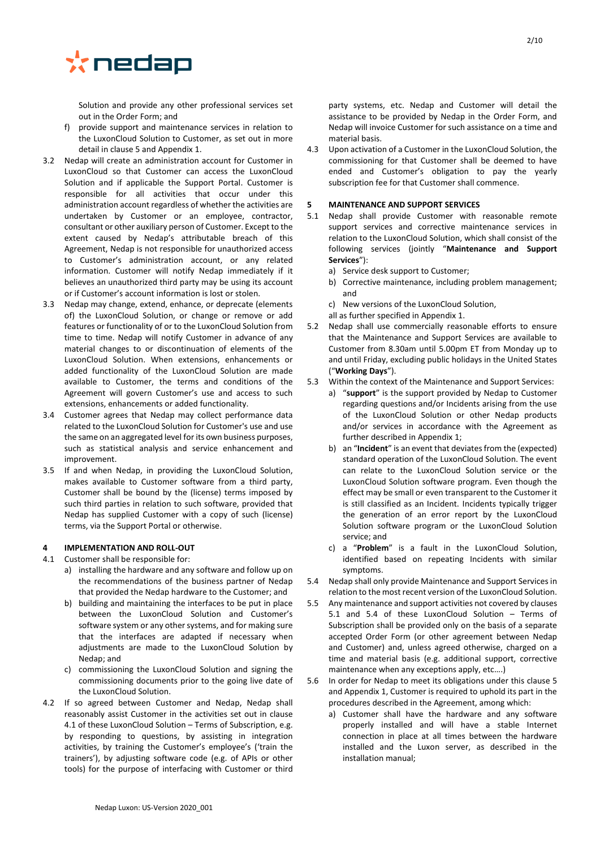

Solution and provide any other professional services set out in the Order Form; and

- f) provide support and maintenance services in relation to the LuxonCloud Solution to Customer, as set out in more detail in claus[e 5](#page-1-1) and Appendix 1.
- <span id="page-1-5"></span>3.2 Nedap will create an administration account for Customer in LuxonCloud so that Customer can access the LuxonCloud Solution and if applicable the Support Portal. Customer is responsible for all activities that occur under this administration account regardless of whether the activities are undertaken by Customer or an employee, contractor, consultant or other auxiliary person of Customer. Except to the extent caused by Nedap's attributable breach of this Agreement, Nedap is not responsible for unauthorized access to Customer's administration account, or any related information. Customer will notify Nedap immediately if it believes an unauthorized third party may be using its account or if Customer's account information is lost or stolen.
- 3.3 Nedap may change, extend, enhance, or deprecate (elements of) the LuxonCloud Solution, or change or remove or add features or functionality of or to the LuxonCloud Solution from time to time. Nedap will notify Customer in advance of any material changes to or discontinuation of elements of the LuxonCloud Solution. When extensions, enhancements or added functionality of the LuxonCloud Solution are made available to Customer, the terms and conditions of the Agreement will govern Customer's use and access to such extensions, enhancements or added functionality.
- 3.4 Customer agrees that Nedap may collect performance data related to the LuxonCloud Solution for Customer's use and use the same on an aggregated level for its own business purposes, such as statistical analysis and service enhancement and improvement.
- 3.5 If and when Nedap, in providing the LuxonCloud Solution, makes available to Customer software from a third party, Customer shall be bound by the (license) terms imposed by such third parties in relation to such software, provided that Nedap has supplied Customer with a copy of such (license) terms, via the Support Portal or otherwise.

## <span id="page-1-0"></span>**4 IMPLEMENTATION AND ROLL-OUT**

- <span id="page-1-2"></span>4.1 Customer shall be responsible for:
	- a) installing the hardware and any software and follow up on the recommendations of the business partner of Nedap that provided the Nedap hardware to the Customer; and
	- b) building and maintaining the interfaces to be put in place between the LuxonCloud Solution and Customer's software system or any other systems, and for making sure that the interfaces are adapted if necessary when adjustments are made to the LuxonCloud Solution by Nedap; and
	- c) commissioning the LuxonCloud Solution and signing the commissioning documents prior to the going live date of the LuxonCloud Solution.
- 4.2 If so agreed between Customer and Nedap, Nedap shall reasonably assist Customer in the activities set out in clause [4.1](#page-1-2) of these LuxonCloud Solution – Terms of Subscription, e.g. by responding to questions, by assisting in integration activities, by training the Customer's employee's ('train the trainers'), by adjusting software code (e.g. of APIs or other tools) for the purpose of interfacing with Customer or third

party systems, etc. Nedap and Customer will detail the assistance to be provided by Nedap in the Order Form, and Nedap will invoice Customer for such assistance on a time and material basis.

4.3 Upon activation of a Customer in the LuxonCloud Solution, the commissioning for that Customer shall be deemed to have ended and Customer's obligation to pay the yearly subscription fee for that Customer shall commence.

## <span id="page-1-1"></span>**5 MAINTENANCE AND SUPPORT SERVICES**

- <span id="page-1-3"></span>5.1 Nedap shall provide Customer with reasonable remote support services and corrective maintenance services in relation to the LuxonCloud Solution, which shall consist of the following services (jointly "**Maintenance and Support Services**"):
	- a) Service desk support to Customer;
	- b) Corrective maintenance, including problem management; and
	- c) New versions of the LuxonCloud Solution,
	- all as further specified in Appendix 1.
- 5.2 Nedap shall use commercially reasonable efforts to ensure that the Maintenance and Support Services are available to Customer from 8.30am until 5.00pm ET from Monday up to and until Friday, excluding public holidays in the United States ("**Working Days**").
- 5.3 Within the context of the Maintenance and Support Services:
	- a) "**support**" is the support provided by Nedap to Customer regarding questions and/or Incidents arising from the use of the LuxonCloud Solution or other Nedap products and/or services in accordance with the Agreement as further described in Appendix 1;
	- b) an "**Incident**" is an event that deviates from the (expected) standard operation of the LuxonCloud Solution. The event can relate to the LuxonCloud Solution service or the LuxonCloud Solution software program. Even though the effect may be small or even transparent to the Customer it is still classified as an Incident. Incidents typically trigger the generation of an error report by the LuxonCloud Solution software program or the LuxonCloud Solution service; and
	- c) a "**Problem**" is a fault in the LuxonCloud Solution, identified based on repeating Incidents with similar symptoms.
- <span id="page-1-4"></span>5.4 Nedap shall only provide Maintenance and Support Services in relation to the most recent version of the LuxonCloud Solution.
- 5.5 Any maintenance and support activities not covered by clauses [5.1](#page-1-3) and [5.4](#page-1-4) of these LuxonCloud Solution – Terms of Subscription shall be provided only on the basis of a separate accepted Order Form (or other agreement between Nedap and Customer) and, unless agreed otherwise, charged on a time and material basis (e.g. additional support, corrective maintenance when any exceptions apply, etc….)
- 5.6 In order for Nedap to meet its obligations under this clause [5](#page-1-1) and Appendix 1, Customer is required to uphold its part in the procedures described in the Agreement, among which:
	- a) Customer shall have the hardware and any software properly installed and will have a stable Internet connection in place at all times between the hardware installed and the Luxon server, as described in the installation manual;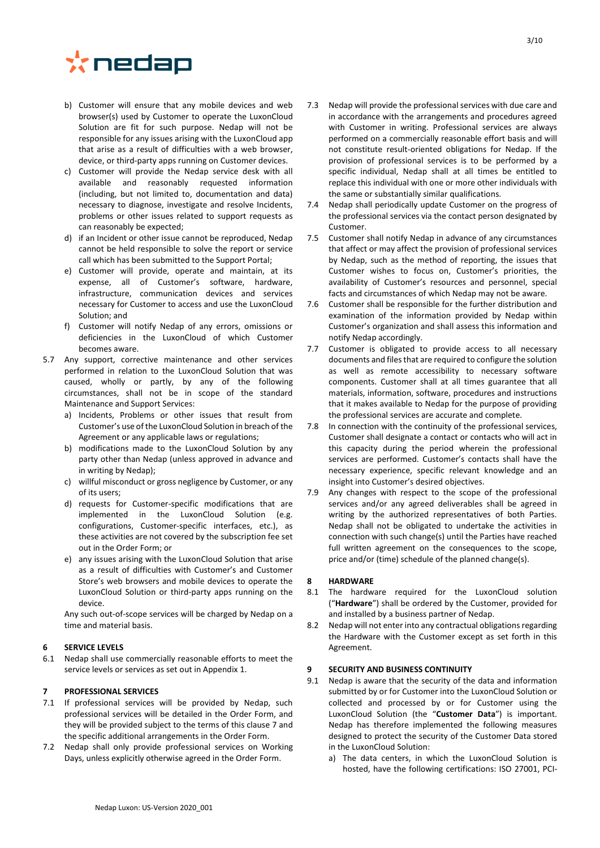# \*nedap

- b) Customer will ensure that any mobile devices and web browser(s) used by Customer to operate the LuxonCloud Solution are fit for such purpose. Nedap will not be responsible for any issues arising with the LuxonCloud app that arise as a result of difficulties with a web browser, device, or third-party apps running on Customer devices.
- c) Customer will provide the Nedap service desk with all available and reasonably requested information (including, but not limited to, documentation and data) necessary to diagnose, investigate and resolve Incidents, problems or other issues related to support requests as can reasonably be expected;
- d) if an Incident or other issue cannot be reproduced, Nedap cannot be held responsible to solve the report or service call which has been submitted to the Support Portal;
- e) Customer will provide, operate and maintain, at its expense, all of Customer's software, hardware, infrastructure, communication devices and services necessary for Customer to access and use the LuxonCloud Solution; and
- f) Customer will notify Nedap of any errors, omissions or deficiencies in the LuxonCloud of which Customer becomes aware.
- 5.7 Any support, corrective maintenance and other services performed in relation to the LuxonCloud Solution that was caused, wholly or partly, by any of the following circumstances, shall not be in scope of the standard Maintenance and Support Services:
	- a) Incidents, Problems or other issues that result from Customer's use of the LuxonCloud Solution in breach of the Agreement or any applicable laws or regulations;
	- b) modifications made to the LuxonCloud Solution by any party other than Nedap (unless approved in advance and in writing by Nedap);
	- c) willful misconduct or gross negligence by Customer, or any of its users;
	- d) requests for Customer-specific modifications that are implemented in the LuxonCloud Solution (e.g. configurations, Customer-specific interfaces, etc.), as these activities are not covered by the subscription fee set out in the Order Form; or
	- e) any issues arising with the LuxonCloud Solution that arise as a result of difficulties with Customer's and Customer Store's web browsers and mobile devices to operate the LuxonCloud Solution or third-party apps running on the device.

Any such out-of-scope services will be charged by Nedap on a time and material basis.

## **6 SERVICE LEVELS**

6.1 Nedap shall use commercially reasonable efforts to meet the service levels or services as set out in Appendix 1.

## <span id="page-2-0"></span>**7 PROFESSIONAL SERVICES**

- 7.1 If professional services will be provided by Nedap, such professional services will be detailed in the Order Form, and they will be provided subject to the terms of this clause [7](#page-2-0) and the specific additional arrangements in the Order Form.
- 7.2 Nedap shall only provide professional services on Working Days, unless explicitly otherwise agreed in the Order Form.
- 7.3 Nedap will provide the professional services with due care and in accordance with the arrangements and procedures agreed with Customer in writing. Professional services are always performed on a commercially reasonable effort basis and will not constitute result-oriented obligations for Nedap. If the provision of professional services is to be performed by a specific individual, Nedap shall at all times be entitled to replace this individual with one or more other individuals with the same or substantially similar qualifications.
- 7.4 Nedap shall periodically update Customer on the progress of the professional services via the contact person designated by Customer.
- 7.5 Customer shall notify Nedap in advance of any circumstances that affect or may affect the provision of professional services by Nedap, such as the method of reporting, the issues that Customer wishes to focus on, Customer's priorities, the availability of Customer's resources and personnel, special facts and circumstances of which Nedap may not be aware.
- 7.6 Customer shall be responsible for the further distribution and examination of the information provided by Nedap within Customer's organization and shall assess this information and notify Nedap accordingly.
- 7.7 Customer is obligated to provide access to all necessary documents and files that are required to configure the solution as well as remote accessibility to necessary software components. Customer shall at all times guarantee that all materials, information, software, procedures and instructions that it makes available to Nedap for the purpose of providing the professional services are accurate and complete.
- 7.8 In connection with the continuity of the professional services, Customer shall designate a contact or contacts who will act in this capacity during the period wherein the professional services are performed. Customer's contacts shall have the necessary experience, specific relevant knowledge and an insight into Customer's desired objectives.
- 7.9 Any changes with respect to the scope of the professional services and/or any agreed deliverables shall be agreed in writing by the authorized representatives of both Parties. Nedap shall not be obligated to undertake the activities in connection with such change(s) until the Parties have reached full written agreement on the consequences to the scope, price and/or (time) schedule of the planned change(s).

#### **8 HARDWARE**

- 8.1 The hardware required for the LuxonCloud solution ("**Hardware**") shall be ordered by the Customer, provided for and installed by a business partner of Nedap.
- 8.2 Nedap will not enter into any contractual obligations regarding the Hardware with the Customer except as set forth in this Agreement.

#### **9 SECURITY AND BUSINESS CONTINUITY**

- 9.1 Nedap is aware that the security of the data and information submitted by or for Customer into the LuxonCloud Solution or collected and processed by or for Customer using the LuxonCloud Solution (the "**Customer Data**") is important. Nedap has therefore implemented the following measures designed to protect the security of the Customer Data stored in the LuxonCloud Solution:
	- a) The data centers, in which the LuxonCloud Solution is hosted, have the following certifications: ISO 27001, PCI-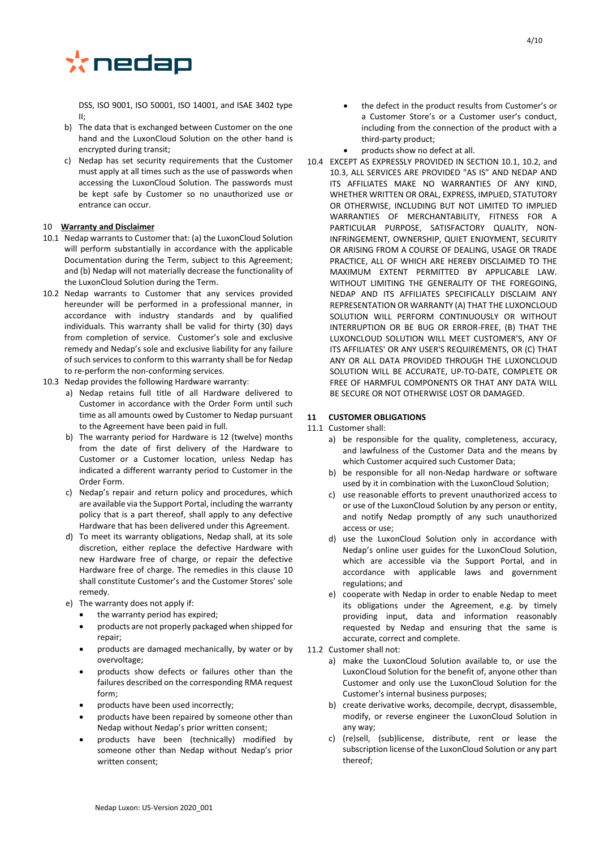

DSS, ISO 9001, ISO 50001, ISO 14001, and ISAE 3402 type II;

- b) The data that is exchanged between Customer on the one hand and the LuxonCloud Solution on the other hand is encrypted during transit;
- c) Nedap has set security requirements that the Customer must apply at all times such as the use of passwords when accessing the LuxonCloud Solution. The passwords must be kept safe by Customer so no unauthorized use or entrance can occur.

## 10 **Warranty and Disclaimer**

- <span id="page-3-0"></span>10.1 Nedap warrants to Customer that: (a) the LuxonCloud Solution will perform substantially in accordance with the applicable Documentation during the Term, subject to this Agreement; and (b) Nedap will not materially decrease the functionality of the LuxonCloud Solution during the Term.
- <span id="page-3-1"></span>10.2 Nedap warrants to Customer that any services provided hereunder will be performed in a professional manner, in accordance with industry standards and by qualified individuals. This warranty shall be valid for thirty (30) days from completion of service. Customer's sole and exclusive remedy and Nedap's sole and exclusive liability for any failure of such services to conform to this warranty shall be for Nedap to re-perform the non-conforming services.
- 10.3 Nedap provides the following Hardware warranty:
	- a) Nedap retains full title of all Hardware delivered to Customer in accordance with the Order Form until such time as all amounts owed by Customer to Nedap pursuant to the Agreement have been paid in full.
	- b) The warranty period for Hardware is 12 (twelve) months from the date of first delivery of the Hardware to Customer or a Customer location, unless Nedap has indicated a different warranty period to Customer in the Order Form.
	- c) Nedap's repair and return policy and procedures, which are available via the Support Portal, including the warranty policy that is a part thereof, shall apply to any defective Hardware that has been delivered under this Agreement.
	- d) To meet its warranty obligations, Nedap shall, at its sole discretion, either replace the defective Hardware with new Hardware free of charge, or repair the defective Hardware free of charge. The remedies in this clause 10 shall constitute Customer's and the Customer Stores' sole remedy.
	- e) The warranty does not apply if:
		- the warranty period has expired;
		- products are not properly packaged when shipped for repair;
		- products are damaged mechanically, by water or by overvoltage;
		- products show defects or failures other than the failures described on the corresponding RMA request form;
		- products have been used incorrectly;
		- products have been repaired by someone other than Nedap without Nedap's prior written consent;
		- products have been (technically) modified by someone other than Nedap without Nedap's prior written consent;
- the defect in the product results from Customer's or a Customer Store's or a Customer user's conduct, including from the connection of the product with a third-party product;
- products show no defect at all.
- 10.4 EXCEPT AS EXPRESSLY PROVIDED IN SECTION [10.1,](#page-3-0) [10.2,](#page-3-1) and 10.3, ALL SERVICES ARE PROVIDED "AS IS" AND NEDAP AND ITS AFFILIATES MAKE NO WARRANTIES OF ANY KIND, WHETHER WRITTEN OR ORAL, EXPRESS, IMPLIED, STATUTORY OR OTHERWISE, INCLUDING BUT NOT LIMITED TO IMPLIED WARRANTIES OF MERCHANTABILITY, FITNESS FOR A PARTICULAR PURPOSE, SATISFACTORY QUALITY, NON-INFRINGEMENT, OWNERSHIP, QUIET ENJOYMENT, SECURITY OR ARISING FROM A COURSE OF DEALING, USAGE OR TRADE PRACTICE, ALL OF WHICH ARE HEREBY DISCLAIMED TO THE MAXIMUM EXTENT PERMITTED BY APPLICABLE LAW. WITHOUT LIMITING THE GENERALITY OF THE FOREGOING, NEDAP AND ITS AFFILIATES SPECIFICALLY DISCLAIM ANY REPRESENTATION OR WARRANTY (A) THAT THE LUXONCLOUD SOLUTION WILL PERFORM CONTINUOUSLY OR WITHOUT INTERRUPTION OR BE BUG OR ERROR-FREE, (B) THAT THE LUXONCLOUD SOLUTION WILL MEET CUSTOMER'S, ANY OF ITS AFFILIATES' OR ANY USER'S REQUIREMENTS, OR (C) THAT ANY OR ALL DATA PROVIDED THROUGH THE LUXONCLOUD SOLUTION WILL BE ACCURATE, UP-TO-DATE, COMPLETE OR FREE OF HARMFUL COMPONENTS OR THAT ANY DATA WILL BE SECURE OR NOT OTHERWISE LOST OR DAMAGED.

### **11 CUSTOMER OBLIGATIONS**

11.1 Customer shall:

- a) be responsible for the quality, completeness, accuracy, and lawfulness of the Customer Data and the means by which Customer acquired such Customer Data;
- b) be responsible for all non-Nedap hardware or software used by it in combination with the LuxonCloud Solution;
- c) use reasonable efforts to prevent unauthorized access to or use of the LuxonCloud Solution by any person or entity, and notify Nedap promptly of any such unauthorized access or use;
- d) use the LuxonCloud Solution only in accordance with Nedap's online user guides for the LuxonCloud Solution, which are accessible via the Support Portal, and in accordance with applicable laws and government regulations; and
- e) cooperate with Nedap in order to enable Nedap to meet its obligations under the Agreement, e.g. by timely providing input, data and information reasonably requested by Nedap and ensuring that the same is accurate, correct and complete.
- 11.2 Customer shall not:
	- a) make the LuxonCloud Solution available to, or use the LuxonCloud Solution for the benefit of, anyone other than Customer and only use the LuxonCloud Solution for the Customer's internal business purposes;
	- b) create derivative works, decompile, decrypt, disassemble, modify, or reverse engineer the LuxonCloud Solution in any way;
	- c) (re)sell, (sub)license, distribute, rent or lease the subscription license of the LuxonCloud Solution or any part thereof;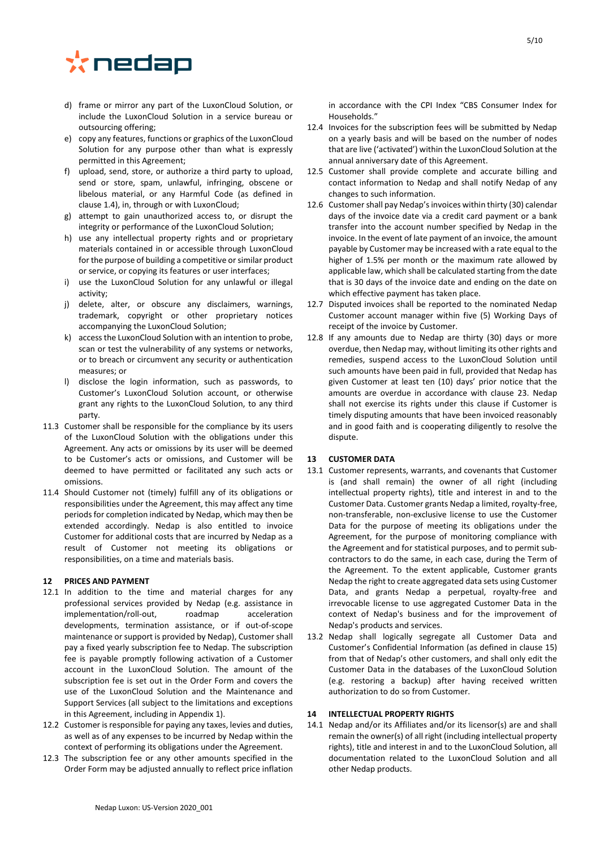# \*nedap

- d) frame or mirror any part of the LuxonCloud Solution, or include the LuxonCloud Solution in a service bureau or outsourcing offering;
- e) copy any features, functions or graphics of the LuxonCloud Solution for any purpose other than what is expressly permitted in this Agreement;
- f) upload, send, store, or authorize a third party to upload, send or store, spam, unlawful, infringing, obscene or libelous material, or any Harmful Code (as defined in clause [1.4\)](#page-0-0), in, through or with LuxonCloud;
- g) attempt to gain unauthorized access to, or disrupt the integrity or performance of the LuxonCloud Solution;
- h) use any intellectual property rights and or proprietary materials contained in or accessible through LuxonCloud for the purpose of building a competitive or similar product or service, or copying its features or user interfaces;
- i) use the LuxonCloud Solution for any unlawful or illegal activity;
- j) delete, alter, or obscure any disclaimers, warnings, trademark, copyright or other proprietary notices accompanying the LuxonCloud Solution;
- k) accessthe LuxonCloud Solution with an intention to probe, scan or test the vulnerability of any systems or networks, or to breach or circumvent any security or authentication measures; or
- l) disclose the login information, such as passwords, to Customer's LuxonCloud Solution account, or otherwise grant any rights to the LuxonCloud Solution, to any third party.
- 11.3 Customer shall be responsible for the compliance by its users of the LuxonCloud Solution with the obligations under this Agreement. Any acts or omissions by its user will be deemed to be Customer's acts or omissions, and Customer will be deemed to have permitted or facilitated any such acts or omissions.
- 11.4 Should Customer not (timely) fulfill any of its obligations or responsibilities under the Agreement, this may affect any time periods for completion indicated by Nedap, which may then be extended accordingly. Nedap is also entitled to invoice Customer for additional costs that are incurred by Nedap as a result of Customer not meeting its obligations or responsibilities, on a time and materials basis.

## **12 PRICES AND PAYMENT**

- <span id="page-4-0"></span>12.1 In addition to the time and material charges for any professional services provided by Nedap (e.g. assistance in implementation/roll-out, roadmap acceleration developments, termination assistance, or if out-of-scope maintenance or support is provided by Nedap), Customer shall pay a fixed yearly subscription fee to Nedap. The subscription fee is payable promptly following activation of a Customer account in the LuxonCloud Solution. The amount of the subscription fee is set out in the Order Form and covers the use of the LuxonCloud Solution and the Maintenance and Support Services (all subject to the limitations and exceptions in this Agreement, including in Appendix 1).
- 12.2 Customer is responsible for paying any taxes, levies and duties, as well as of any expenses to be incurred by Nedap within the context of performing its obligations under the Agreement.
- 12.3 The subscription fee or any other amounts specified in the Order Form may be adjusted annually to reflect price inflation

in accordance with the CPI Index "CBS Consumer Index for Households."

- 12.4 Invoices for the subscription fees will be submitted by Nedap on a yearly basis and will be based on the number of nodes that are live ('activated') within the LuxonCloud Solution at the annual anniversary date of this Agreement.
- 12.5 Customer shall provide complete and accurate billing and contact information to Nedap and shall notify Nedap of any changes to such information.
- 12.6 Customer shall pay Nedap's invoices within thirty (30) calendar days of the invoice date via a credit card payment or a bank transfer into the account number specified by Nedap in the invoice. In the event of late payment of an invoice, the amount payable by Customer may be increased with a rate equal to the higher of 1.5% per month or the maximum rate allowed by applicable law, which shall be calculated starting from the date that is 30 days of the invoice date and ending on the date on which effective payment has taken place.
- 12.7 Disputed invoices shall be reported to the nominated Nedap Customer account manager within five (5) Working Days of receipt of the invoice by Customer.
- 12.8 If any amounts due to Nedap are thirty (30) days or more overdue, then Nedap may, without limiting its other rights and remedies, suspend access to the LuxonCloud Solution until such amounts have been paid in full, provided that Nedap has given Customer at least ten (10) days' prior notice that the amounts are overdue in accordance with clause [23.](#page-7-0) Nedap shall not exercise its rights under this clause if Customer is timely disputing amounts that have been invoiced reasonably and in good faith and is cooperating diligently to resolve the dispute.

## **13 CUSTOMER DATA**

- 13.1 Customer represents, warrants, and covenants that Customer is (and shall remain) the owner of all right (including intellectual property rights), title and interest in and to the Customer Data. Customer grants Nedap a limited, royalty-free, non-transferable, non-exclusive license to use the Customer Data for the purpose of meeting its obligations under the Agreement, for the purpose of monitoring compliance with the Agreement and for statistical purposes, and to permit subcontractors to do the same, in each case, during the Term of the Agreement. To the extent applicable, Customer grants Nedap the right to create aggregated data sets using Customer Data, and grants Nedap a perpetual, royalty-free and irrevocable license to use aggregated Customer Data in the context of Nedap's business and for the improvement of Nedap's products and services.
- 13.2 Nedap shall logically segregate all Customer Data and Customer's Confidential Information (as defined in clause [15\)](#page-5-0) from that of Nedap's other customers, and shall only edit the Customer Data in the databases of the LuxonCloud Solution (e.g. restoring a backup) after having received written authorization to do so from Customer.

## **14 INTELLECTUAL PROPERTY RIGHTS**

14.1 Nedap and/or its Affiliates and/or its licensor(s) are and shall remain the owner(s) of all right (including intellectual property rights), title and interest in and to the LuxonCloud Solution, all documentation related to the LuxonCloud Solution and all other Nedap products.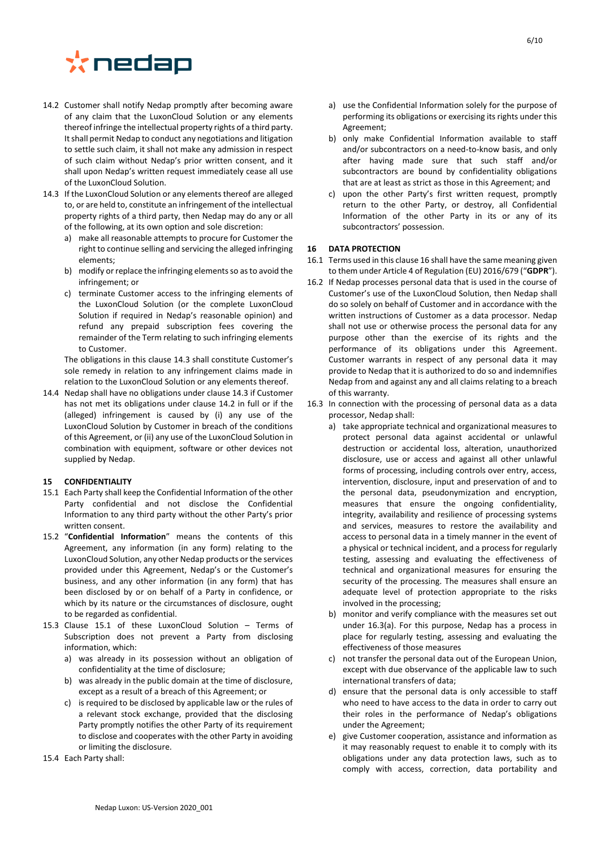## \*nedap

- <span id="page-5-2"></span>14.2 Customer shall notify Nedap promptly after becoming aware of any claim that the LuxonCloud Solution or any elements thereof infringe the intellectual property rights of a third party. It shall permit Nedap to conduct any negotiations and litigation to settle such claim, it shall not make any admission in respect of such claim without Nedap's prior written consent, and it shall upon Nedap's written request immediately cease all use of the LuxonCloud Solution.
- <span id="page-5-1"></span>14.3 If the LuxonCloud Solution or any elements thereof are alleged to, or are held to, constitute an infringement of the intellectual property rights of a third party, then Nedap may do any or all of the following, at its own option and sole discretion:
	- a) make all reasonable attempts to procure for Customer the right to continue selling and servicing the alleged infringing elements;
	- b) modify or replace the infringing elements so as to avoid the infringement; or
	- c) terminate Customer access to the infringing elements of the LuxonCloud Solution (or the complete LuxonCloud Solution if required in Nedap's reasonable opinion) and refund any prepaid subscription fees covering the remainder of the Term relating to such infringing elements to Customer.

The obligations in this claus[e 14.3](#page-5-1) shall constitute Customer's sole remedy in relation to any infringement claims made in relation to the LuxonCloud Solution or any elements thereof.

14.4 Nedap shall have no obligations under claus[e 14.3](#page-5-1) if Customer has not met its obligations under clause [14.2](#page-5-2) in full or if the (alleged) infringement is caused by (i) any use of the LuxonCloud Solution by Customer in breach of the conditions of this Agreement, or (ii) any use of the LuxonCloud Solution in combination with equipment, software or other devices not supplied by Nedap.

## <span id="page-5-0"></span>**15 CONFIDENTIALITY**

- <span id="page-5-3"></span>15.1 Each Party shall keep the Confidential Information of the other Party confidential and not disclose the Confidential Information to any third party without the other Party's prior written consent.
- 15.2 "**Confidential Information**" means the contents of this Agreement, any information (in any form) relating to the LuxonCloud Solution, any other Nedap products or the services provided under this Agreement, Nedap's or the Customer's business, and any other information (in any form) that has been disclosed by or on behalf of a Party in confidence, or which by its nature or the circumstances of disclosure, ought to be regarded as confidential.
- 15.3 Clause [15.1](#page-5-3) of these LuxonCloud Solution Terms of Subscription does not prevent a Party from disclosing information, which:
	- a) was already in its possession without an obligation of confidentiality at the time of disclosure;
	- b) was already in the public domain at the time of disclosure, except as a result of a breach of this Agreement; or
	- c) is required to be disclosed by applicable law or the rules of a relevant stock exchange, provided that the disclosing Party promptly notifies the other Party of its requirement to disclose and cooperates with the other Party in avoiding or limiting the disclosure.
- 15.4 Each Party shall:
- a) use the Confidential Information solely for the purpose of performing its obligations or exercising its rights under this Agreement;
- b) only make Confidential Information available to staff and/or subcontractors on a need-to-know basis, and only after having made sure that such staff and/or subcontractors are bound by confidentiality obligations that are at least as strict as those in this Agreement; and
- c) upon the other Party's first written request, promptly return to the other Party, or destroy, all Confidential Information of the other Party in its or any of its subcontractors' possession.

#### <span id="page-5-4"></span>**16 DATA PROTECTION**

- 16.1 Terms used in this claus[e 16](#page-5-4) shall have the same meaning given to them under Article 4 of Regulation (EU) 2016/679 ("**GDPR**").
- 16.2 If Nedap processes personal data that is used in the course of Customer's use of the LuxonCloud Solution, then Nedap shall do so solely on behalf of Customer and in accordance with the written instructions of Customer as a data processor. Nedap shall not use or otherwise process the personal data for any purpose other than the exercise of its rights and the performance of its obligations under this Agreement. Customer warrants in respect of any personal data it may provide to Nedap that it is authorized to do so and indemnifies Nedap from and against any and all claims relating to a breach of this warranty.
- <span id="page-5-6"></span><span id="page-5-5"></span>16.3 In connection with the processing of personal data as a data processor, Nedap shall:
	- a) take appropriate technical and organizational measures to protect personal data against accidental or unlawful destruction or accidental loss, alteration, unauthorized disclosure, use or access and against all other unlawful forms of processing, including controls over entry, access, intervention, disclosure, input and preservation of and to the personal data, pseudonymization and encryption, measures that ensure the ongoing confidentiality, integrity, availability and resilience of processing systems and services, measures to restore the availability and access to personal data in a timely manner in the event of a physical or technical incident, and a process for regularly testing, assessing and evaluating the effectiveness of technical and organizational measures for ensuring the security of the processing. The measures shall ensure an adequate level of protection appropriate to the risks involved in the processing;
	- b) monitor and verify compliance with the measures set out under 16.3(a). For this purpose, Nedap has a process in place for regularly testing, assessing and evaluating the effectiveness of those measures
	- c) not transfer the personal data out of the European Union, except with due observance of the applicable law to such international transfers of data;
	- d) ensure that the personal data is only accessible to staff who need to have access to the data in order to carry out their roles in the performance of Nedap's obligations under the Agreement;
	- e) give Customer cooperation, assistance and information as it may reasonably request to enable it to comply with its obligations under any data protection laws, such as to comply with access, correction, data portability and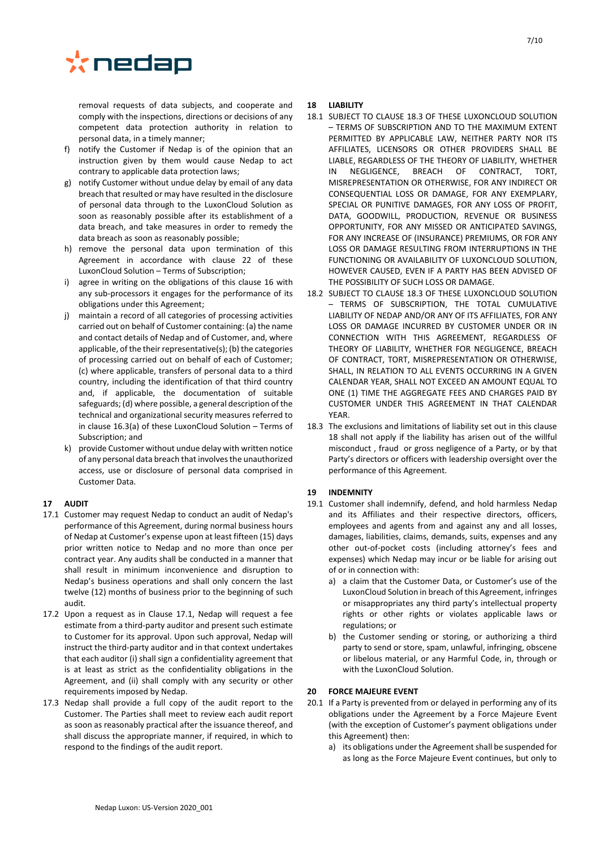

removal requests of data subjects, and cooperate and comply with the inspections, directions or decisions of any competent data protection authority in relation to personal data, in a timely manner;

- f) notify the Customer if Nedap is of the opinion that an instruction given by them would cause Nedap to act contrary to applicable data protection laws;
- g) notify Customer without undue delay by email of any data breach that resulted or may have resulted in the disclosure of personal data through to the LuxonCloud Solution as soon as reasonably possible after its establishment of a data breach, and take measures in order to remedy the data breach as soon as reasonably possible;
- h) remove the personal data upon termination of this Agreement in accordance with clause [22](#page-7-1) of these LuxonCloud Solution – Terms of Subscription;
- agree in writing on the obligations of this clause [16](#page-5-4) with any sub-processors it engages for the performance of its obligations under this Agreement;
- j) maintain a record of all categories of processing activities carried out on behalf of Customer containing: (a) the name and contact details of Nedap and of Customer, and, where applicable, of the their representative(s); (b) the categories of processing carried out on behalf of each of Customer; (c) where applicable, transfers of personal data to a third country, including the identification of that third country and, if applicable, the documentation of suitable safeguards; (d) where possible, a general description of the technical and organizational security measures referred to in claus[e 16.3\(](#page-5-5)[a\)](#page-5-6) of these LuxonCloud Solution – Terms of Subscription; and
- provide Customer without undue delay with written notice of any personal data breach that involvesthe unauthorized access, use or disclosure of personal data comprised in Customer Data.

## **17 AUDIT**

- <span id="page-6-0"></span>17.1 Customer may request Nedap to conduct an audit of Nedap's performance of this Agreement, during normal business hours of Nedap at Customer's expense upon at least fifteen (15) days prior written notice to Nedap and no more than once per contract year. Any audits shall be conducted in a manner that shall result in minimum inconvenience and disruption to Nedap's business operations and shall only concern the last twelve (12) months of business prior to the beginning of such audit.
- 17.2 Upon a request as in Clause [17.1,](#page-6-0) Nedap will request a fee estimate from a third-party auditor and present such estimate to Customer for its approval. Upon such approval, Nedap will instruct the third-party auditor and in that context undertakes that each auditor (i) shall sign a confidentiality agreement that is at least as strict as the confidentiality obligations in the Agreement, and (ii) shall comply with any security or other requirements imposed by Nedap.
- 17.3 Nedap shall provide a full copy of the audit report to the Customer. The Parties shall meet to review each audit report as soon as reasonably practical after the issuance thereof, and shall discuss the appropriate manner, if required, in which to respond to the findings of the audit report.

## <span id="page-6-2"></span>**18 LIABILITY**

- 18.1 SUBJECT TO CLAUS[E 18.3](#page-6-1) OF THESE LUXONCLOUD SOLUTION – TERMS OF SUBSCRIPTION AND TO THE MAXIMUM EXTENT PERMITTED BY APPLICABLE LAW, NEITHER PARTY NOR ITS AFFILIATES, LICENSORS OR OTHER PROVIDERS SHALL BE LIABLE, REGARDLESS OF THE THEORY OF LIABILITY, WHETHER IN NEGLIGENCE, BREACH OF CONTRACT, TORT, MISREPRESENTATION OR OTHERWISE, FOR ANY INDIRECT OR CONSEQUENTIAL LOSS OR DAMAGE, FOR ANY EXEMPLARY, SPECIAL OR PUNITIVE DAMAGES, FOR ANY LOSS OF PROFIT, DATA, GOODWILL, PRODUCTION, REVENUE OR BUSINESS OPPORTUNITY, FOR ANY MISSED OR ANTICIPATED SAVINGS, FOR ANY INCREASE OF (INSURANCE) PREMIUMS, OR FOR ANY LOSS OR DAMAGE RESULTING FROM INTERRUPTIONS IN THE FUNCTIONING OR AVAILABILITY OF LUXONCLOUD SOLUTION, HOWEVER CAUSED, EVEN IF A PARTY HAS BEEN ADVISED OF THE POSSIBILITY OF SUCH LOSS OR DAMAGE.
- 18.2 SUBJECT TO CLAUS[E 18.3](#page-6-1) OF THESE LUXONCLOUD SOLUTION – TERMS OF SUBSCRIPTION, THE TOTAL CUMULATIVE LIABILITY OF NEDAP AND/OR ANY OF ITS AFFILIATES, FOR ANY LOSS OR DAMAGE INCURRED BY CUSTOMER UNDER OR IN CONNECTION WITH THIS AGREEMENT, REGARDLESS OF THEORY OF LIABILITY, WHETHER FOR NEGLIGENCE, BREACH OF CONTRACT, TORT, MISREPRESENTATION OR OTHERWISE, SHALL, IN RELATION TO ALL EVENTS OCCURRING IN A GIVEN CALENDAR YEAR, SHALL NOT EXCEED AN AMOUNT EQUAL TO ONE (1) TIME THE AGGREGATE FEES AND CHARGES PAID BY CUSTOMER UNDER THIS AGREEMENT IN THAT CALENDAR YEAR.
- <span id="page-6-1"></span>18.3 The exclusions and limitations of liability set out in this clause [18](#page-6-2) shall not apply if the liability has arisen out of the willful misconduct , fraud or gross negligence of a Party, or by that Party's directors or officers with leadership oversight over the performance of this Agreement.

## **19 INDEMNITY**

- 19.1 Customer shall indemnify, defend, and hold harmless Nedap and its Affiliates and their respective directors, officers, employees and agents from and against any and all losses, damages, liabilities, claims, demands, suits, expenses and any other out-of-pocket costs (including attorney's fees and expenses) which Nedap may incur or be liable for arising out of or in connection with:
	- a) a claim that the Customer Data, or Customer's use of the LuxonCloud Solution in breach of this Agreement, infringes or misappropriates any third party's intellectual property rights or other rights or violates applicable laws or regulations; or
	- b) the Customer sending or storing, or authorizing a third party to send or store, spam, unlawful, infringing, obscene or libelous material, or any Harmful Code, in, through or with the LuxonCloud Solution.

#### **20 FORCE MAJEURE EVENT**

- 20.1 If a Party is prevented from or delayed in performing any of its obligations under the Agreement by a Force Majeure Event (with the exception of Customer's payment obligations under this Agreement) then:
	- a) its obligations under the Agreement shall be suspended for as long as the Force Majeure Event continues, but only to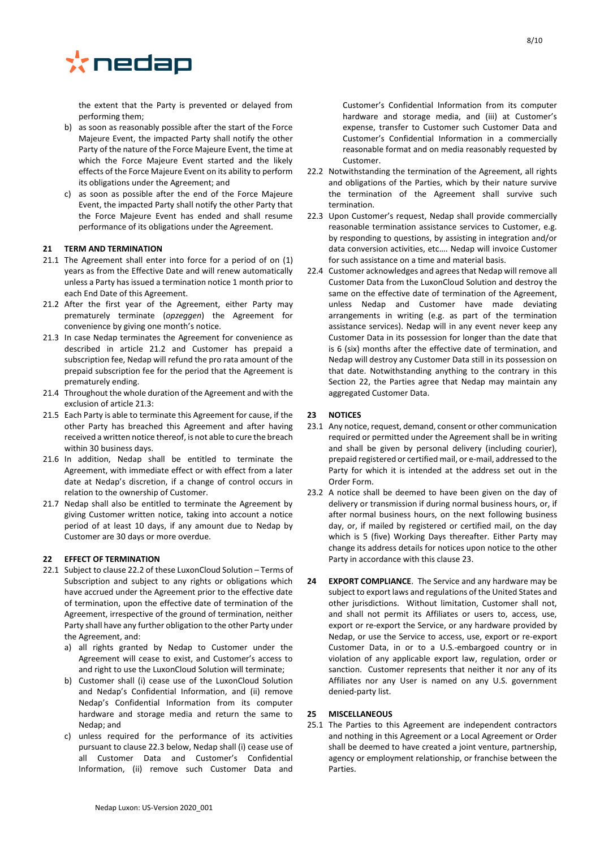

the extent that the Party is prevented or delayed from performing them;

- b) as soon as reasonably possible after the start of the Force Majeure Event, the impacted Party shall notify the other Party of the nature of the Force Majeure Event, the time at which the Force Majeure Event started and the likely effects of the Force Majeure Event on its ability to perform its obligations under the Agreement; and
- c) as soon as possible after the end of the Force Majeure Event, the impacted Party shall notify the other Party that the Force Majeure Event has ended and shall resume performance of its obligations under the Agreement.

## **21 TERM AND TERMINATION**

- 21.1 The Agreement shall enter into force for a period of on (1) years as from the Effective Date and will renew automatically unless a Party has issued a termination notice 1 month prior to each End Date of this Agreement.
- 21.2 After the first year of the Agreement, either Party may prematurely terminate (*opzeggen*) the Agreement for convenience by giving one month's notice.
- 21.3 In case Nedap terminates the Agreement for convenience as described in article 21.2 and Customer has prepaid a subscription fee, Nedap will refund the pro rata amount of the prepaid subscription fee for the period that the Agreement is prematurely ending.
- 21.4 Throughout the whole duration of the Agreement and with the exclusion of article 21.3:
- 21.5 Each Party is able to terminate this Agreement for cause, if the other Party has breached this Agreement and after having received a written notice thereof, is not able to cure the breach within 30 business days.
- 21.6 In addition, Nedap shall be entitled to terminate the Agreement, with immediate effect or with effect from a later date at Nedap's discretion, if a change of control occurs in relation to the ownership of Customer.
- 21.7 Nedap shall also be entitled to terminate the Agreement by giving Customer written notice, taking into account a notice period of at least 10 days, if any amount due to Nedap by Customer are 30 days or more overdue.

#### <span id="page-7-1"></span>**22 EFFECT OF TERMINATION**

- 22.1 Subject to claus[e 22.2](#page-7-2) of these LuxonCloud Solution Terms of Subscription and subject to any rights or obligations which have accrued under the Agreement prior to the effective date of termination, upon the effective date of termination of the Agreement, irrespective of the ground of termination, neither Party shall have any further obligation to the other Party under the Agreement, and:
	- a) all rights granted by Nedap to Customer under the Agreement will cease to exist, and Customer's access to and right to use the LuxonCloud Solution will terminate;
	- b) Customer shall (i) cease use of the LuxonCloud Solution and Nedap's Confidential Information, and (ii) remove Nedap's Confidential Information from its computer hardware and storage media and return the same to Nedap; and
	- c) unless required for the performance of its activities pursuant to clause [22.3](#page-7-3) below, Nedap shall (i) cease use of all Customer Data and Customer's Confidential Information, (ii) remove such Customer Data and

Customer's Confidential Information from its computer hardware and storage media, and (iii) at Customer's expense, transfer to Customer such Customer Data and Customer's Confidential Information in a commercially reasonable format and on media reasonably requested by Customer.

- <span id="page-7-2"></span>22.2 Notwithstanding the termination of the Agreement, all rights and obligations of the Parties, which by their nature survive the termination of the Agreement shall survive such termination.
- <span id="page-7-3"></span>22.3 Upon Customer's request, Nedap shall provide commercially reasonable termination assistance services to Customer, e.g. by responding to questions, by assisting in integration and/or data conversion activities, etc…. Nedap will invoice Customer for such assistance on a time and material basis.
- 22.4 Customer acknowledges and agrees that Nedap will remove all Customer Data from the LuxonCloud Solution and destroy the same on the effective date of termination of the Agreement, unless Nedap and Customer have made deviating arrangements in writing (e.g. as part of the termination assistance services). Nedap will in any event never keep any Customer Data in its possession for longer than the date that is 6 (six) months after the effective date of termination, and Nedap will destroy any Customer Data still in its possession on that date. Notwithstanding anything to the contrary in this Section 22, the Parties agree that Nedap may maintain any aggregated Customer Data.

## <span id="page-7-0"></span>**23 NOTICES**

- 23.1 Any notice, request, demand, consent or other communication required or permitted under the Agreement shall be in writing and shall be given by personal delivery (including courier), prepaid registered or certified mail, or e-mail, addressed to the Party for which it is intended at the address set out in the Order Form.
- 23.2 A notice shall be deemed to have been given on the day of delivery or transmission if during normal business hours, or, if after normal business hours, on the next following business day, or, if mailed by registered or certified mail, on the day which is 5 (five) Working Days thereafter. Either Party may change its address details for notices upon notice to the other Party in accordance with this claus[e 23.](#page-7-0)
- **24 EXPORT COMPLIANCE**. The Service and any hardware may be subject to export laws and regulations of the United States and other jurisdictions. Without limitation, Customer shall not, and shall not permit its Affiliates or users to, access, use, export or re-export the Service, or any hardware provided by Nedap, or use the Service to access, use, export or re-export Customer Data, in or to a U.S.-embargoed country or in violation of any applicable export law, regulation, order or sanction. Customer represents that neither it nor any of its Affiliates nor any User is named on any U.S. government denied-party list.

#### **25 MISCELLANEOUS**

25.1 The Parties to this Agreement are independent contractors and nothing in this Agreement or a Local Agreement or Order shall be deemed to have created a joint venture, partnership, agency or employment relationship, or franchise between the Parties.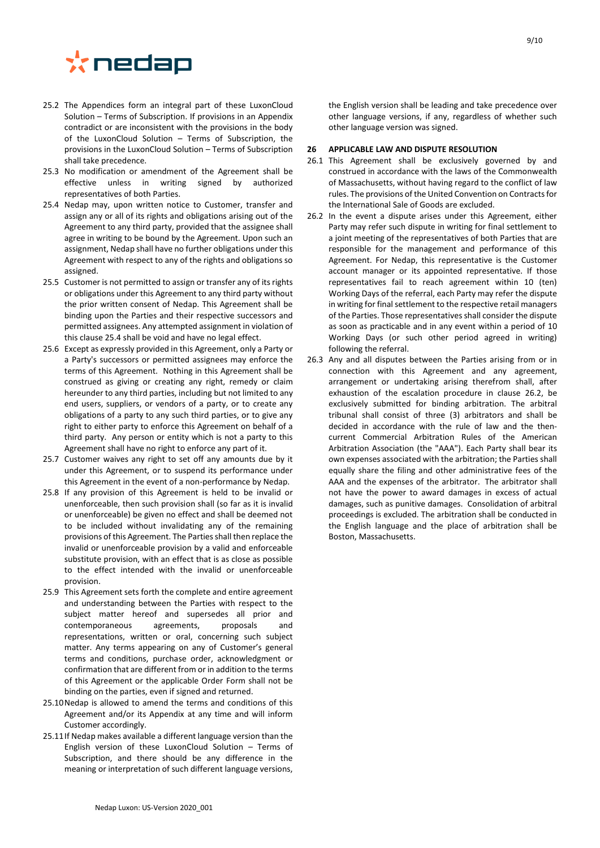

- 25.2 The Appendices form an integral part of these LuxonCloud Solution – Terms of Subscription. If provisions in an Appendix contradict or are inconsistent with the provisions in the body of the LuxonCloud Solution – Terms of Subscription, the provisions in the LuxonCloud Solution – Terms of Subscription shall take precedence.
- 25.3 No modification or amendment of the Agreement shall be effective unless in writing signed by authorized representatives of both Parties.
- <span id="page-8-0"></span>25.4 Nedap may, upon written notice to Customer, transfer and assign any or all of its rights and obligations arising out of the Agreement to any third party, provided that the assignee shall agree in writing to be bound by the Agreement. Upon such an assignment, Nedap shall have no further obligations under this Agreement with respect to any of the rights and obligations so assigned.
- 25.5 Customer is not permitted to assign or transfer any of its rights or obligations under this Agreement to any third party without the prior written consent of Nedap. This Agreement shall be binding upon the Parties and their respective successors and permitted assignees. Any attempted assignment in violation of this claus[e 25.4](#page-8-0) shall be void and have no legal effect.
- 25.6 Except as expressly provided in this Agreement, only a Party or a Party's successors or permitted assignees may enforce the terms of this Agreement. Nothing in this Agreement shall be construed as giving or creating any right, remedy or claim hereunder to any third parties, including but not limited to any end users, suppliers, or vendors of a party, or to create any obligations of a party to any such third parties, or to give any right to either party to enforce this Agreement on behalf of a third party. Any person or entity which is not a party to this Agreement shall have no right to enforce any part of it.
- 25.7 Customer waives any right to set off any amounts due by it under this Agreement, or to suspend its performance under this Agreement in the event of a non-performance by Nedap.
- 25.8 If any provision of this Agreement is held to be invalid or unenforceable, then such provision shall (so far as it is invalid or unenforceable) be given no effect and shall be deemed not to be included without invalidating any of the remaining provisions of this Agreement. The Parties shall then replace the invalid or unenforceable provision by a valid and enforceable substitute provision, with an effect that is as close as possible to the effect intended with the invalid or unenforceable provision.
- 25.9 This Agreement sets forth the complete and entire agreement and understanding between the Parties with respect to the subject matter hereof and supersedes all prior and contemporaneous agreements, proposals and representations, written or oral, concerning such subject matter. Any terms appearing on any of Customer's general terms and conditions, purchase order, acknowledgment or confirmation that are different from or in addition to the terms of this Agreement or the applicable Order Form shall not be binding on the parties, even if signed and returned.
- 25.10Nedap is allowed to amend the terms and conditions of this Agreement and/or its Appendix at any time and will inform Customer accordingly.
- 25.11If Nedap makes available a different language version than the English version of these LuxonCloud Solution – Terms of Subscription, and there should be any difference in the meaning or interpretation of such different language versions,

the English version shall be leading and take precedence over other language versions, if any, regardless of whether such other language version was signed.

#### **26 APPLICABLE LAW AND DISPUTE RESOLUTION**

- 26.1 This Agreement shall be exclusively governed by and construed in accordance with the laws of the Commonwealth of Massachusetts, without having regard to the conflict of law rules. The provisions of the United Convention on Contracts for the International Sale of Goods are excluded.
- <span id="page-8-1"></span>26.2 In the event a dispute arises under this Agreement, either Party may refer such dispute in writing for final settlement to a joint meeting of the representatives of both Parties that are responsible for the management and performance of this Agreement. For Nedap, this representative is the Customer account manager or its appointed representative. If those representatives fail to reach agreement within 10 (ten) Working Days of the referral, each Party may refer the dispute in writing for final settlement to the respective retail managers of the Parties. Those representatives shall consider the dispute as soon as practicable and in any event within a period of 10 Working Days (or such other period agreed in writing) following the referral.
- 26.3 Any and all disputes between the Parties arising from or in connection with this Agreement and any agreement, arrangement or undertaking arising therefrom shall, after exhaustion of the escalation procedure in clause [26.2,](#page-8-1) be exclusively submitted for binding arbitration. The arbitral tribunal shall consist of three (3) arbitrators and shall be decided in accordance with the rule of law and the thencurrent Commercial Arbitration Rules of the American Arbitration Association (the "AAA"). Each Party shall bear its own expenses associated with the arbitration; the Parties shall equally share the filing and other administrative fees of the AAA and the expenses of the arbitrator. The arbitrator shall not have the power to award damages in excess of actual damages, such as punitive damages. Consolidation of arbitral proceedings is excluded. The arbitration shall be conducted in the English language and the place of arbitration shall be Boston, Massachusetts.